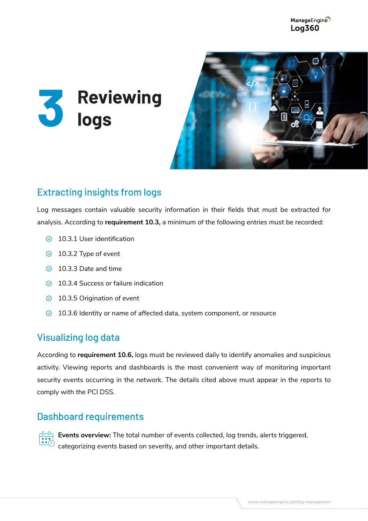



# Extracting insights from logs

Log messages contain valuable security information in their fields that must be extracted for analysis. According to **requirement 10.3,** a minimum of the following entries must be recorded:

- 10.3.1 User identification
- $\odot$  10.3.2 Type of event
- ◯ 10.3.3 Date and time
- $\odot$  10.3.4 Success or failure indication
- **◯ 10.3.5 Origination of event**
- $\odot$  10.3.6 Identity or name of affected data, system component, or resource

### Visualizing log data

According to **requirement 10.6,** logs must be reviewed daily to identify anomalies and suspicious activity. Viewing reports and dashboards is the most convenient way of monitoring important security events occurring in the network. The details cited above must appear in the reports to comply with the PCI DSS.

#### Dashboard requirements



**Events overview:** The total number of events collected, log trends, alerts triggered, categorizing events based on severity, and other important details.